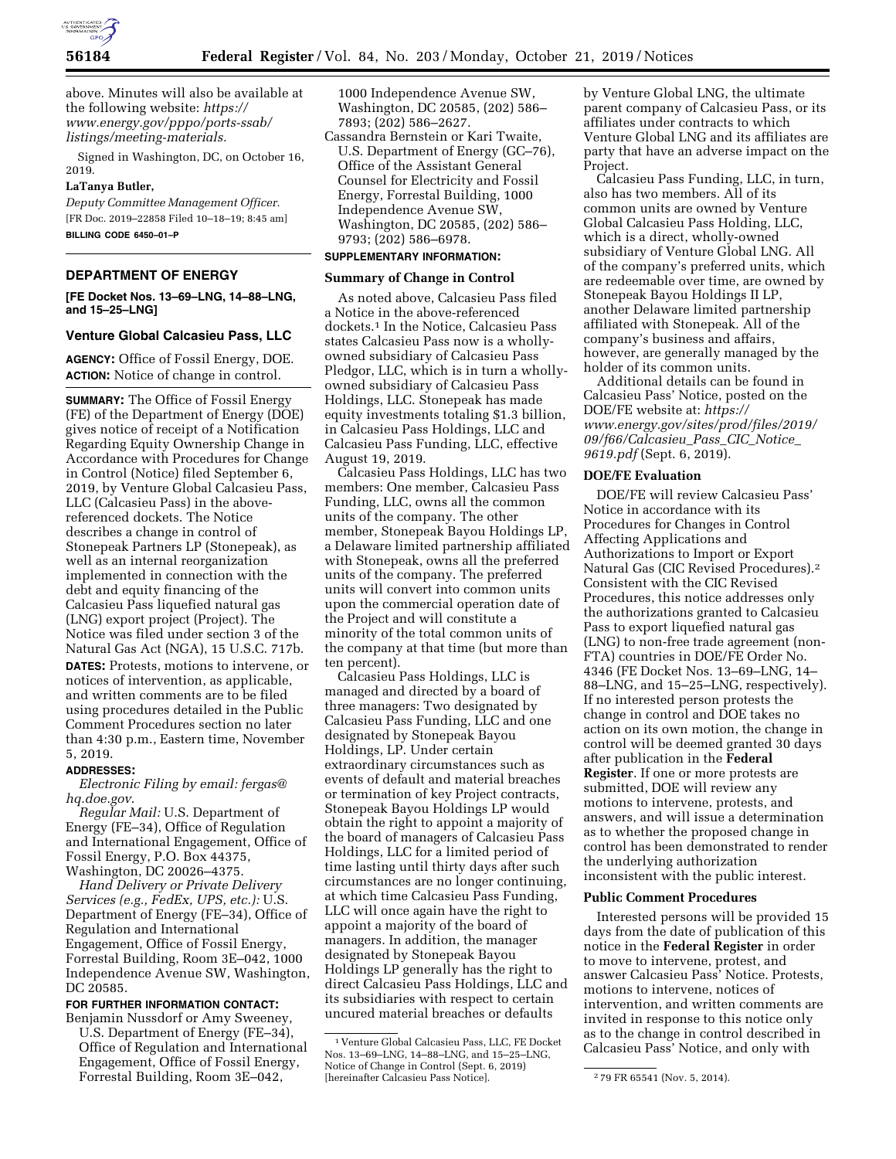

above. Minutes will also be available at the following website: *[https://](https://www.energy.gov/pppo/ports-ssab/listings/meeting-materials) [www.energy.gov/pppo/ports-ssab/](https://www.energy.gov/pppo/ports-ssab/listings/meeting-materials)  [listings/meeting-materials.](https://www.energy.gov/pppo/ports-ssab/listings/meeting-materials)* 

Signed in Washington, DC, on October 16, 2019.

# **LaTanya Butler,**

*Deputy Committee Management Officer.*  [FR Doc. 2019–22858 Filed 10–18–19; 8:45 am] **BILLING CODE 6450–01–P** 

### **DEPARTMENT OF ENERGY**

**[FE Docket Nos. 13–69–LNG, 14–88–LNG, and 15–25–LNG]** 

# **Venture Global Calcasieu Pass, LLC**

**AGENCY:** Office of Fossil Energy, DOE. **ACTION:** Notice of change in control.

**SUMMARY:** The Office of Fossil Energy (FE) of the Department of Energy (DOE) gives notice of receipt of a Notification Regarding Equity Ownership Change in Accordance with Procedures for Change in Control (Notice) filed September 6, 2019, by Venture Global Calcasieu Pass, LLC (Calcasieu Pass) in the abovereferenced dockets. The Notice describes a change in control of Stonepeak Partners LP (Stonepeak), as well as an internal reorganization implemented in connection with the debt and equity financing of the Calcasieu Pass liquefied natural gas (LNG) export project (Project). The Notice was filed under section 3 of the Natural Gas Act (NGA), 15 U.S.C. 717b.

**DATES:** Protests, motions to intervene, or notices of intervention, as applicable, and written comments are to be filed using procedures detailed in the Public Comment Procedures section no later than 4:30 p.m., Eastern time, November 5, 2019.

## **ADDRESSES:**

*Electronic Filing by email: [fergas@](mailto:fergas@hq.doe.gov) [hq.doe.gov](mailto:fergas@hq.doe.gov)*.

*Regular Mail:* U.S. Department of Energy (FE–34), Office of Regulation and International Engagement, Office of Fossil Energy, P.O. Box 44375, Washington, DC 20026–4375.

*Hand Delivery or Private Delivery Services (e.g., FedEx, UPS, etc.):* U.S. Department of Energy (FE–34), Office of Regulation and International Engagement, Office of Fossil Energy, Forrestal Building, Room 3E–042, 1000 Independence Avenue SW, Washington, DC 20585.

# **FOR FURTHER INFORMATION CONTACT:**

Benjamin Nussdorf or Amy Sweeney, U.S. Department of Energy (FE–34), Office of Regulation and International Engagement, Office of Fossil Energy, Forrestal Building, Room 3E–042,

1000 Independence Avenue SW, Washington, DC 20585, (202) 586– 7893; (202) 586–2627.

Cassandra Bernstein or Kari Twaite, U.S. Department of Energy (GC–76), Office of the Assistant General Counsel for Electricity and Fossil Energy, Forrestal Building, 1000 Independence Avenue SW, Washington, DC 20585, (202) 586– 9793; (202) 586–6978.

# **SUPPLEMENTARY INFORMATION:**

### **Summary of Change in Control**

As noted above, Calcasieu Pass filed a Notice in the above-referenced dockets.1 In the Notice, Calcasieu Pass states Calcasieu Pass now is a whollyowned subsidiary of Calcasieu Pass Pledgor, LLC, which is in turn a whollyowned subsidiary of Calcasieu Pass Holdings, LLC. Stonepeak has made equity investments totaling \$1.3 billion, in Calcasieu Pass Holdings, LLC and Calcasieu Pass Funding, LLC, effective August 19, 2019.

Calcasieu Pass Holdings, LLC has two members: One member, Calcasieu Pass Funding, LLC, owns all the common units of the company. The other member, Stonepeak Bayou Holdings LP, a Delaware limited partnership affiliated with Stonepeak, owns all the preferred units of the company. The preferred units will convert into common units upon the commercial operation date of the Project and will constitute a minority of the total common units of the company at that time (but more than ten percent).

Calcasieu Pass Holdings, LLC is managed and directed by a board of three managers: Two designated by Calcasieu Pass Funding, LLC and one designated by Stonepeak Bayou Holdings, LP. Under certain extraordinary circumstances such as events of default and material breaches or termination of key Project contracts, Stonepeak Bayou Holdings LP would obtain the right to appoint a majority of the board of managers of Calcasieu Pass Holdings, LLC for a limited period of time lasting until thirty days after such circumstances are no longer continuing, at which time Calcasieu Pass Funding, LLC will once again have the right to appoint a majority of the board of managers. In addition, the manager designated by Stonepeak Bayou Holdings LP generally has the right to direct Calcasieu Pass Holdings, LLC and its subsidiaries with respect to certain uncured material breaches or defaults

by Venture Global LNG, the ultimate parent company of Calcasieu Pass, or its affiliates under contracts to which Venture Global LNG and its affiliates are party that have an adverse impact on the Project.

Calcasieu Pass Funding, LLC, in turn, also has two members. All of its common units are owned by Venture Global Calcasieu Pass Holding, LLC, which is a direct, wholly-owned subsidiary of Venture Global LNG. All of the company's preferred units, which are redeemable over time, are owned by Stonepeak Bayou Holdings II LP, another Delaware limited partnership affiliated with Stonepeak. All of the company's business and affairs, however, are generally managed by the holder of its common units.

Additional details can be found in Calcasieu Pass' Notice, posted on the DOE/FE website at: *[https://](https://www.energy.gov/sites/prod/files/2019/09/f66/Calcasieu_Pass_CIC_Notice_9619.pdf) [www.energy.gov/sites/prod/files/2019/](https://www.energy.gov/sites/prod/files/2019/09/f66/Calcasieu_Pass_CIC_Notice_9619.pdf) [09/f66/Calcasieu](https://www.energy.gov/sites/prod/files/2019/09/f66/Calcasieu_Pass_CIC_Notice_9619.pdf)*\_*Pass*\_*CIC*\_*Notice*\_ *[9619.pdf](https://www.energy.gov/sites/prod/files/2019/09/f66/Calcasieu_Pass_CIC_Notice_9619.pdf)* (Sept. 6, 2019).

# **DOE/FE Evaluation**

DOE/FE will review Calcasieu Pass' Notice in accordance with its Procedures for Changes in Control Affecting Applications and Authorizations to Import or Export Natural Gas (CIC Revised Procedures).2 Consistent with the CIC Revised Procedures, this notice addresses only the authorizations granted to Calcasieu Pass to export liquefied natural gas (LNG) to non-free trade agreement (non-FTA) countries in DOE/FE Order No. 4346 (FE Docket Nos. 13–69–LNG, 14– 88–LNG, and 15–25–LNG, respectively). If no interested person protests the change in control and DOE takes no action on its own motion, the change in control will be deemed granted 30 days after publication in the **Federal Register**. If one or more protests are submitted, DOE will review any motions to intervene, protests, and answers, and will issue a determination as to whether the proposed change in control has been demonstrated to render the underlying authorization inconsistent with the public interest.

#### **Public Comment Procedures**

Interested persons will be provided 15 days from the date of publication of this notice in the **Federal Register** in order to move to intervene, protest, and answer Calcasieu Pass' Notice. Protests, motions to intervene, notices of intervention, and written comments are invited in response to this notice only as to the change in control described in Calcasieu Pass' Notice, and only with

<sup>1</sup> Venture Global Calcasieu Pass, LLC, FE Docket Nos. 13–69–LNG, 14–88–LNG, and 15–25–LNG, Notice of Change in Control (Sept. 6, 2019) [hereinafter Calcasieu Pass Notice]. 2 79 FR 65541 (Nov. 5, 2014).